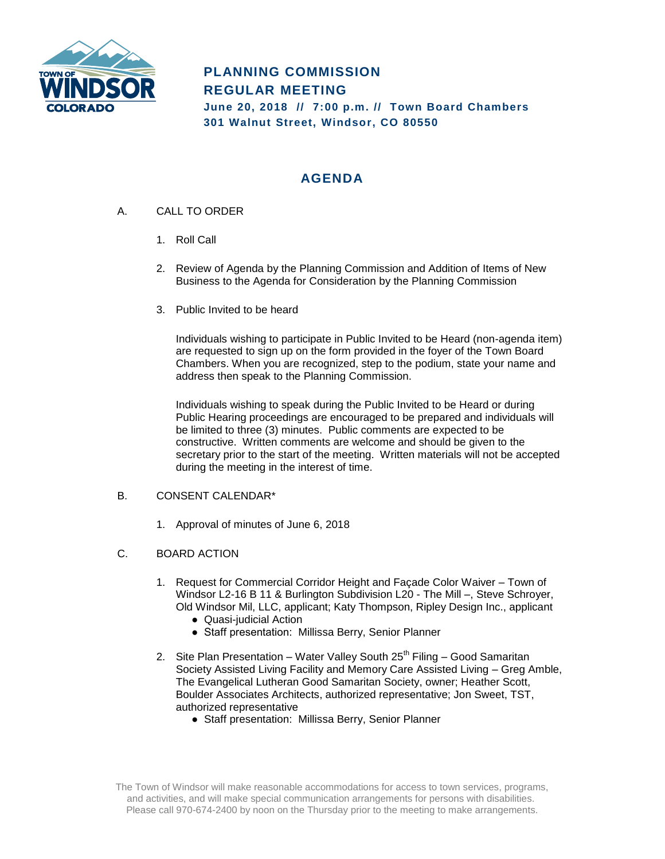

# **PLANNING COMMISSION REGULAR MEETING June 20, 2018 // 7:00 p.m. // Town Board Chambers 301 Walnut Street, Windsor, CO 80550**

## **AGENDA**

- A. CALL TO ORDER
	- 1. Roll Call
	- 2. Review of Agenda by the Planning Commission and Addition of Items of New Business to the Agenda for Consideration by the Planning Commission
	- 3. Public Invited to be heard

Individuals wishing to participate in Public Invited to be Heard (non-agenda item) are requested to sign up on the form provided in the foyer of the Town Board Chambers. When you are recognized, step to the podium, state your name and address then speak to the Planning Commission.

Individuals wishing to speak during the Public Invited to be Heard or during Public Hearing proceedings are encouraged to be prepared and individuals will be limited to three (3) minutes. Public comments are expected to be constructive. Written comments are welcome and should be given to the secretary prior to the start of the meeting. Written materials will not be accepted during the meeting in the interest of time.

## B. CONSENT CALENDAR\*

1. Approval of minutes of June 6, 2018

## C. BOARD ACTION

- 1. Request for Commercial Corridor Height and Façade Color Waiver Town of Windsor L2-16 B 11 & Burlington Subdivision L20 - The Mill –, Steve Schroyer, Old Windsor Mil, LLC, applicant; Katy Thompson, Ripley Design Inc., applicant
	- Quasi-judicial Action
	- Staff presentation: Millissa Berry, Senior Planner
- 2. Site Plan Presentation Water Valley South  $25<sup>th</sup>$  Filing Good Samaritan Society Assisted Living Facility and Memory Care Assisted Living – Greg Amble, The Evangelical Lutheran Good Samaritan Society, owner; Heather Scott, Boulder Associates Architects, authorized representative; Jon Sweet, TST, authorized representative
	- Staff presentation: Millissa Berry, Senior Planner

The Town of Windsor will make reasonable accommodations for access to town services, programs, and activities, and will make special communication arrangements for persons with disabilities. Please call 970-674-2400 by noon on the Thursday prior to the meeting to make arrangements.